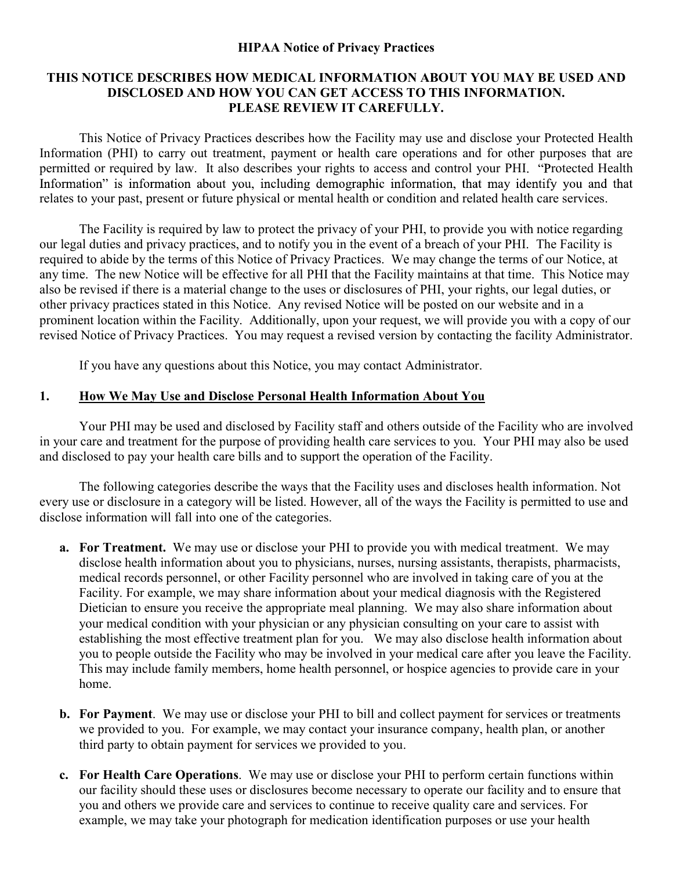### HIPAA Notice of Privacy Practices

### THIS NOTICE DESCRIBES HOW MEDICAL INFORMATION ABOUT YOU MAY BE USED AND DISCLOSED AND HOW YOU CAN GET ACCESS TO THIS INFORMATION. PLEASE REVIEW IT CAREFULLY.

 This Notice of Privacy Practices describes how the Facility may use and disclose your Protected Health Information (PHI) to carry out treatment, payment or health care operations and for other purposes that are permitted or required by law. It also describes your rights to access and control your PHI. "Protected Health Information" is information about you, including demographic information, that may identify you and that relates to your past, present or future physical or mental health or condition and related health care services.

 The Facility is required by law to protect the privacy of your PHI, to provide you with notice regarding our legal duties and privacy practices, and to notify you in the event of a breach of your PHI. The Facility is required to abide by the terms of this Notice of Privacy Practices. We may change the terms of our Notice, at any time. The new Notice will be effective for all PHI that the Facility maintains at that time. This Notice may also be revised if there is a material change to the uses or disclosures of PHI, your rights, our legal duties, or other privacy practices stated in this Notice. Any revised Notice will be posted on our website and in a prominent location within the Facility. Additionally, upon your request, we will provide you with a copy of our revised Notice of Privacy Practices. You may request a revised version by contacting the facility Administrator.

If you have any questions about this Notice, you may contact Administrator.

### 1. How We May Use and Disclose Personal Health Information About You

 Your PHI may be used and disclosed by Facility staff and others outside of the Facility who are involved in your care and treatment for the purpose of providing health care services to you. Your PHI may also be used and disclosed to pay your health care bills and to support the operation of the Facility.

 The following categories describe the ways that the Facility uses and discloses health information. Not every use or disclosure in a category will be listed. However, all of the ways the Facility is permitted to use and disclose information will fall into one of the categories.

- a. For Treatment. We may use or disclose your PHI to provide you with medical treatment. We may disclose health information about you to physicians, nurses, nursing assistants, therapists, pharmacists, medical records personnel, or other Facility personnel who are involved in taking care of you at the Facility. For example, we may share information about your medical diagnosis with the Registered Dietician to ensure you receive the appropriate meal planning. We may also share information about your medical condition with your physician or any physician consulting on your care to assist with establishing the most effective treatment plan for you. We may also disclose health information about you to people outside the Facility who may be involved in your medical care after you leave the Facility. This may include family members, home health personnel, or hospice agencies to provide care in your home.
- b. For Payment. We may use or disclose your PHI to bill and collect payment for services or treatments we provided to you. For example, we may contact your insurance company, health plan, or another third party to obtain payment for services we provided to you.
- c. For Health Care Operations. We may use or disclose your PHI to perform certain functions within our facility should these uses or disclosures become necessary to operate our facility and to ensure that you and others we provide care and services to continue to receive quality care and services. For example, we may take your photograph for medication identification purposes or use your health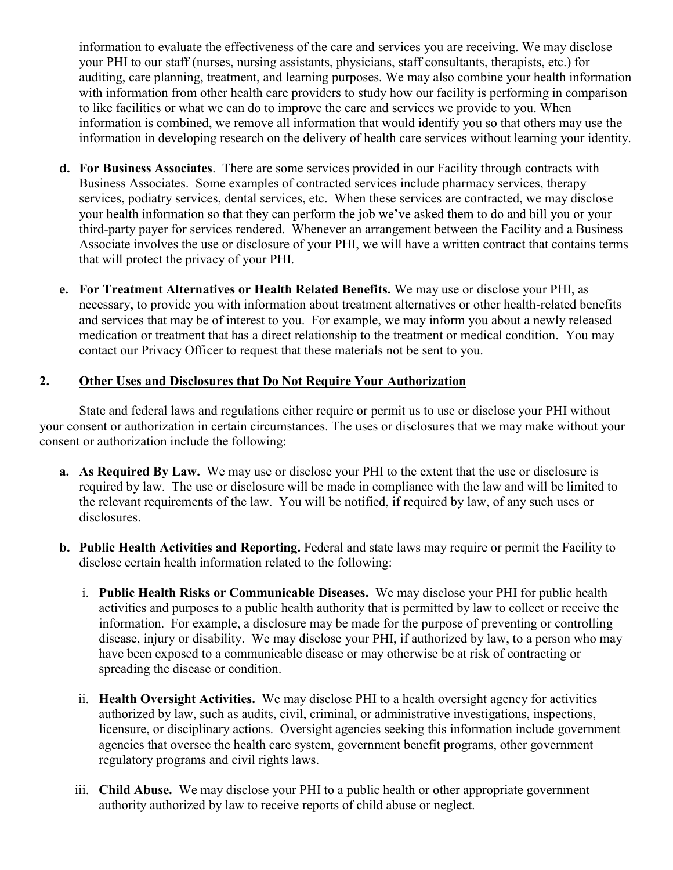information to evaluate the effectiveness of the care and services you are receiving. We may disclose your PHI to our staff (nurses, nursing assistants, physicians, staff consultants, therapists, etc.) for auditing, care planning, treatment, and learning purposes. We may also combine your health information with information from other health care providers to study how our facility is performing in comparison to like facilities or what we can do to improve the care and services we provide to you. When information is combined, we remove all information that would identify you so that others may use the information in developing research on the delivery of health care services without learning your identity.

- d. For Business Associates. There are some services provided in our Facility through contracts with Business Associates. Some examples of contracted services include pharmacy services, therapy services, podiatry services, dental services, etc. When these services are contracted, we may disclose your health information so that they can perform the job we've asked them to do and bill you or your third-party payer for services rendered. Whenever an arrangement between the Facility and a Business Associate involves the use or disclosure of your PHI, we will have a written contract that contains terms that will protect the privacy of your PHI.
- e. For Treatment Alternatives or Health Related Benefits. We may use or disclose your PHI, as necessary, to provide you with information about treatment alternatives or other health-related benefits and services that may be of interest to you. For example, we may inform you about a newly released medication or treatment that has a direct relationship to the treatment or medical condition. You may contact our Privacy Officer to request that these materials not be sent to you.

### 2. Other Uses and Disclosures that Do Not Require Your Authorization

State and federal laws and regulations either require or permit us to use or disclose your PHI without your consent or authorization in certain circumstances. The uses or disclosures that we may make without your consent or authorization include the following:

- a. As Required By Law. We may use or disclose your PHI to the extent that the use or disclosure is required by law. The use or disclosure will be made in compliance with the law and will be limited to the relevant requirements of the law. You will be notified, if required by law, of any such uses or disclosures.
- b. Public Health Activities and Reporting. Federal and state laws may require or permit the Facility to disclose certain health information related to the following:
	- i. Public Health Risks or Communicable Diseases. We may disclose your PHI for public health activities and purposes to a public health authority that is permitted by law to collect or receive the information. For example, a disclosure may be made for the purpose of preventing or controlling disease, injury or disability. We may disclose your PHI, if authorized by law, to a person who may have been exposed to a communicable disease or may otherwise be at risk of contracting or spreading the disease or condition.
	- ii. Health Oversight Activities. We may disclose PHI to a health oversight agency for activities authorized by law, such as audits, civil, criminal, or administrative investigations, inspections, licensure, or disciplinary actions. Oversight agencies seeking this information include government agencies that oversee the health care system, government benefit programs, other government
	- regulatory programs and civil rights laws.<br>iii. Child Abuse. We may disclose your PHI to a public health or other appropriate government authority authorized by law to receive reports of child abuse or neglect.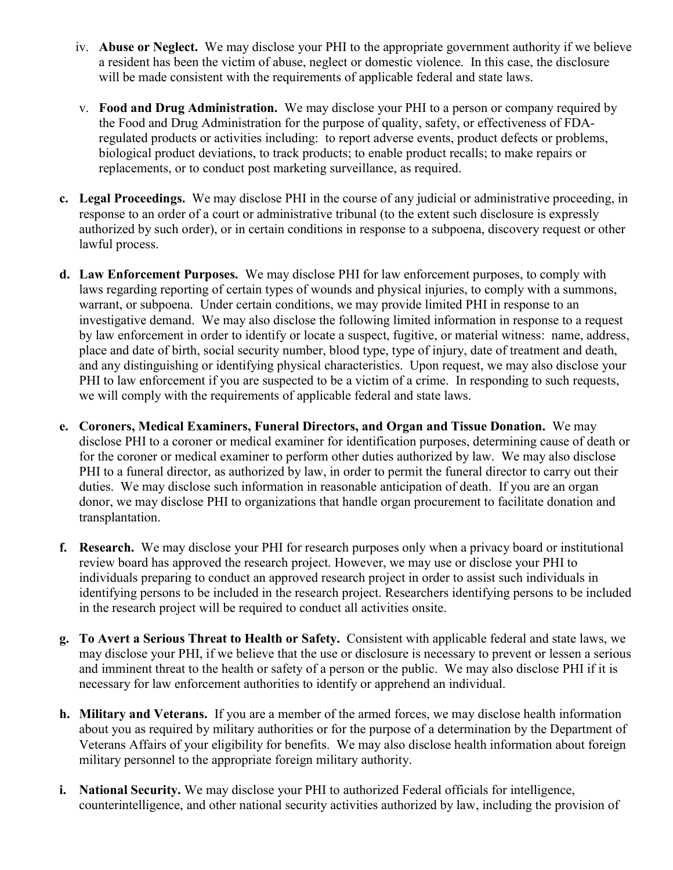- iv. Abuse or Neglect. We may disclose your PHI to the appropriate government authority if we believe a resident has been the victim of abuse, neglect or domestic violence. In this case, the disclosure
- will be made consistent with the requirements of applicable federal and state laws.<br>v. Food and Drug Administration. We may disclose your PHI to a person or company required by the Food and Drug Administration for the purpose of quality, safety, or effectiveness of FDAregulated products or activities including: to report adverse events, product defects or problems, biological product deviations, to track products; to enable product recalls; to make repairs or replacements, or to conduct post marketing surveillance, as required.
- c. Legal Proceedings. We may disclose PHI in the course of any judicial or administrative proceeding, in response to an order of a court or administrative tribunal (to the extent such disclosure is expressly authorized by such order), or in certain conditions in response to a subpoena, discovery request or other lawful process.
- d. Law Enforcement Purposes. We may disclose PHI for law enforcement purposes, to comply with laws regarding reporting of certain types of wounds and physical injuries, to comply with a summons, warrant, or subpoena. Under certain conditions, we may provide limited PHI in response to an investigative demand. We may also disclose the following limited information in response to a request by law enforcement in order to identify or locate a suspect, fugitive, or material witness: name, address, place and date of birth, social security number, blood type, type of injury, date of treatment and death, and any distinguishing or identifying physical characteristics. Upon request, we may also disclose your PHI to law enforcement if you are suspected to be a victim of a crime. In responding to such requests, we will comply with the requirements of applicable federal and state laws.
- e. Coroners, Medical Examiners, Funeral Directors, and Organ and Tissue Donation. We may disclose PHI to a coroner or medical examiner for identification purposes, determining cause of death or for the coroner or medical examiner to perform other duties authorized by law. We may also disclose PHI to a funeral director, as authorized by law, in order to permit the funeral director to carry out their duties. We may disclose such information in reasonable anticipation of death. If you are an organ donor, we may disclose PHI to organizations that handle organ procurement to facilitate donation and transplantation.
- f. Research. We may disclose your PHI for research purposes only when a privacy board or institutional review board has approved the research project. However, we may use or disclose your PHI to individuals preparing to conduct an approved research project in order to assist such individuals in identifying persons to be included in the research project. Researchers identifying persons to be included in the research project will be required to conduct all activities onsite.
- g. To Avert a Serious Threat to Health or Safety. Consistent with applicable federal and state laws, we may disclose your PHI, if we believe that the use or disclosure is necessary to prevent or lessen a serious and imminent threat to the health or safety of a person or the public. We may also disclose PHI if it is necessary for law enforcement authorities to identify or apprehend an individual.
- h. Military and Veterans. If you are a member of the armed forces, we may disclose health information about you as required by military authorities or for the purpose of a determination by the Department of Veterans Affairs of your eligibility for benefits. We may also disclose health information about foreign military personnel to the appropriate foreign military authority.
- i. National Security. We may disclose your PHI to authorized Federal officials for intelligence, counterintelligence, and other national security activities authorized by law, including the provision of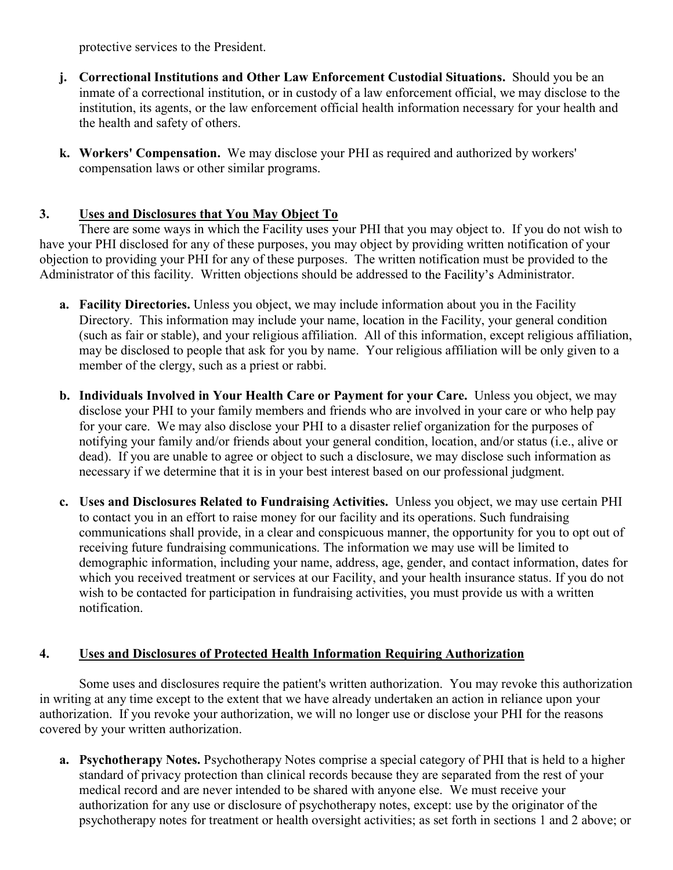protective services to the President.

- j. Correctional Institutions and Other Law Enforcement Custodial Situations. Should you be an inmate of a correctional institution, or in custody of a law enforcement official, we may disclose to the institution, its agents, or the law enforcement official health information necessary for your health and the health and safety of others.
- k. Workers' Compensation. We may disclose your PHI as required and authorized by workers' compensation laws or other similar programs.

# 3. Uses and Disclosures that You May Object To

 There are some ways in which the Facility uses your PHI that you may object to. If you do not wish to have your PHI disclosed for any of these purposes, you may object by providing written notification of your objection to providing your PHI for any of these purposes. The written notification must be provided to the Administrator of this facility. Written objections should be addressed to the Facility's Administrator.

- a. Facility Directories. Unless you object, we may include information about you in the Facility Directory. This information may include your name, location in the Facility, your general condition (such as fair or stable), and your religious affiliation. All of this information, except religious affiliation, may be disclosed to people that ask for you by name. Your religious affiliation will be only given to a member of the clergy, such as a priest or rabbi.
- b. Individuals Involved in Your Health Care or Payment for your Care. Unless you object, we may disclose your PHI to your family members and friends who are involved in your care or who help pay for your care. We may also disclose your PHI to a disaster relief organization for the purposes of notifying your family and/or friends about your general condition, location, and/or status (i.e., alive or dead). If you are unable to agree or object to such a disclosure, we may disclose such information as necessary if we determine that it is in your best interest based on our professional judgment.
- c. Uses and Disclosures Related to Fundraising Activities. Unless you object, we may use certain PHI to contact you in an effort to raise money for our facility and its operations. Such fundraising communications shall provide, in a clear and conspicuous manner, the opportunity for you to opt out of receiving future fundraising communications. The information we may use will be limited to demographic information, including your name, address, age, gender, and contact information, dates for which you received treatment or services at our Facility, and your health insurance status. If you do not wish to be contacted for participation in fundraising activities, you must provide us with a written notification.

## 4. Uses and Disclosures of Protected Health Information Requiring Authorization

Some uses and disclosures require the patient's written authorization. You may revoke this authorization in writing at any time except to the extent that we have already undertaken an action in reliance upon your authorization. If you revoke your authorization, we will no longer use or disclose your PHI for the reasons covered by your written authorization.

a. Psychotherapy Notes. Psychotherapy Notes comprise a special category of PHI that is held to a higher standard of privacy protection than clinical records because they are separated from the rest of your medical record and are never intended to be shared with anyone else. We must receive your authorization for any use or disclosure of psychotherapy notes, except: use by the originator of the psychotherapy notes for treatment or health oversight activities; as set forth in sections 1 and 2 above; or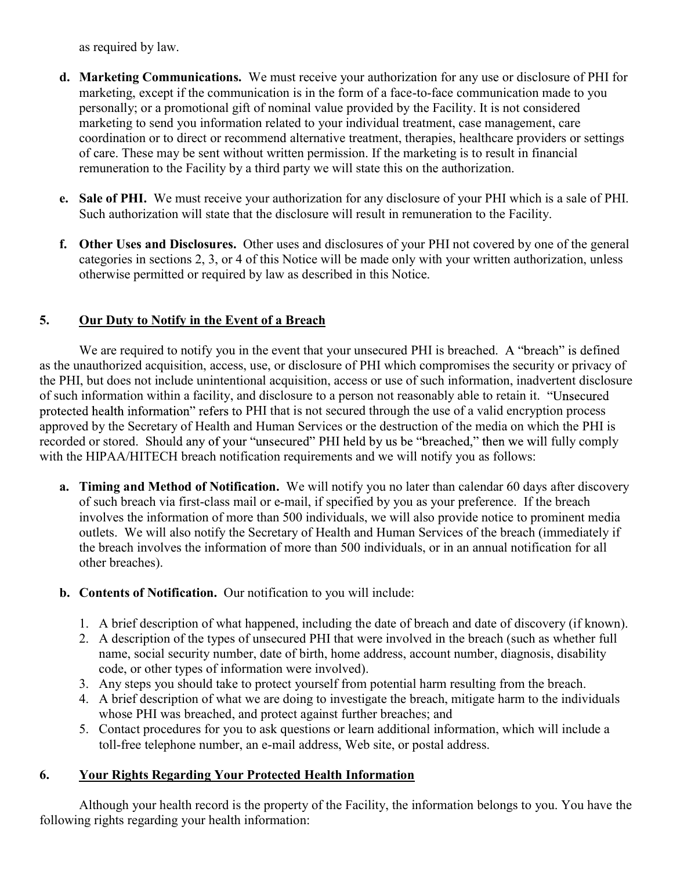as required by law.

- d. Marketing Communications. We must receive your authorization for any use or disclosure of PHI for marketing, except if the communication is in the form of a face-to-face communication made to you personally; or a promotional gift of nominal value provided by the Facility. It is not considered marketing to send you information related to your individual treatment, case management, care coordination or to direct or recommend alternative treatment, therapies, healthcare providers or settings of care. These may be sent without written permission. If the marketing is to result in financial remuneration to the Facility by a third party we will state this on the authorization.
- e. Sale of PHI. We must receive your authorization for any disclosure of your PHI which is a sale of PHI. Such authorization will state that the disclosure will result in remuneration to the Facility.
- f. Other Uses and Disclosures. Other uses and disclosures of your PHI not covered by one of the general categories in sections 2, 3, or 4 of this Notice will be made only with your written authorization, unless otherwise permitted or required by law as described in this Notice.

# 5. Our Duty to Notify in the Event of a Breach

We are required to notify you in the event that your unsecured PHI is breached. A "breach" is defined as the unauthorized acquisition, access, use, or disclosure of PHI which compromises the security or privacy of the PHI, but does not include unintentional acquisition, access or use of such information, inadvertent disclosure of such information within a facility, and disclosure to a person not reasonably able to retain it. "Unsecured protected health information" refers to PHI that is not secured through the use of a valid encryption process approved by the Secretary of Health and Human Services or the destruction of the media on which the PHI is recorded or stored. Should any of your "unsecured" PHI held by us be "breached," then we will fully comply with the HIPAA/HITECH breach notification requirements and we will notify you as follows:

- a. Timing and Method of Notification. We will notify you no later than calendar 60 days after discovery of such breach via first-class mail or e-mail, if specified by you as your preference. If the breach involves the information of more than 500 individuals, we will also provide notice to prominent media outlets. We will also notify the Secretary of Health and Human Services of the breach (immediately if the breach involves the information of more than 500 individuals, or in an annual notification for all other breaches).
- b. Contents of Notification. Our notification to you will include:
	- 1. A brief description of what happened, including the date of breach and date of discovery (if known).
	- 2. A description of the types of unsecured PHI that were involved in the breach (such as whether full name, social security number, date of birth, home address, account number, diagnosis, disability code, or other types of information were involved).
	- 3. Any steps you should take to protect yourself from potential harm resulting from the breach.
	- 4. A brief description of what we are doing to investigate the breach, mitigate harm to the individuals whose PHI was breached, and protect against further breaches; and
	- 5. Contact procedures for you to ask questions or learn additional information, which will include a toll-free telephone number, an e-mail address, Web site, or postal address.

# 6. Your Rights Regarding Your Protected Health Information

 Although your health record is the property of the Facility, the information belongs to you. You have the following rights regarding your health information: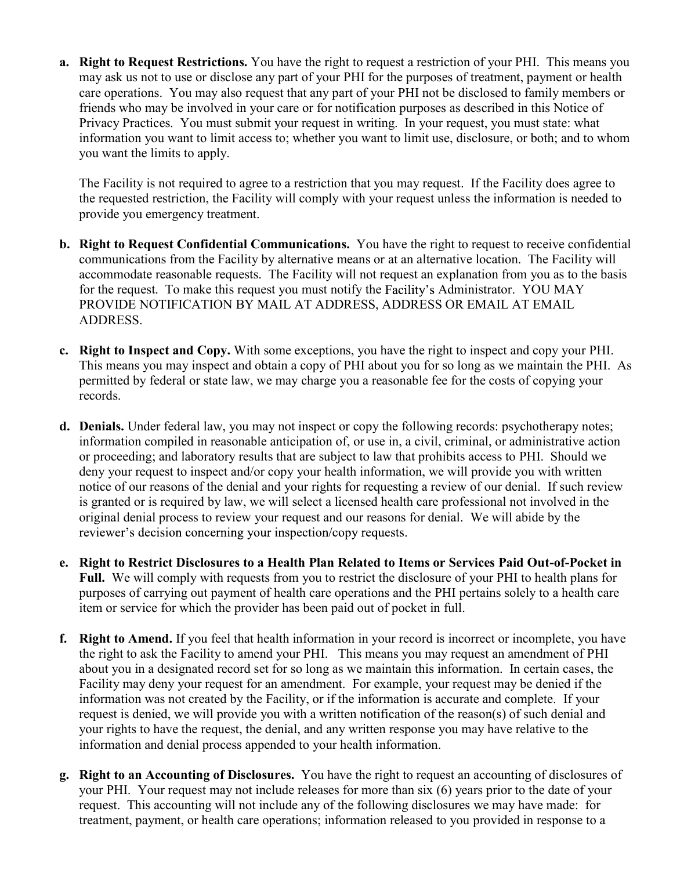a. Right to Request Restrictions. You have the right to request a restriction of your PHI. This means you may ask us not to use or disclose any part of your PHI for the purposes of treatment, payment or health care operations. You may also request that any part of your PHI not be disclosed to family members or friends who may be involved in your care or for notification purposes as described in this Notice of Privacy Practices. You must submit your request in writing. In your request, you must state: what information you want to limit access to; whether you want to limit use, disclosure, or both; and to whom you want the limits to apply.

The Facility is not required to agree to a restriction that you may request. If the Facility does agree to the requested restriction, the Facility will comply with your request unless the information is needed to provide you emergency treatment.

- b. Right to Request Confidential Communications. You have the right to request to receive confidential communications from the Facility by alternative means or at an alternative location. The Facility will accommodate reasonable requests. The Facility will not request an explanation from you as to the basis for the request. To make this request you must notify the Facility's Administrator. YOU MAY PROVIDE NOTIFICATION BY MAIL AT ADDRESS, ADDRESS OR EMAIL AT EMAIL ADDRESS.
- c. Right to Inspect and Copy. With some exceptions, you have the right to inspect and copy your PHI. This means you may inspect and obtain a copy of PHI about you for so long as we maintain the PHI. As permitted by federal or state law, we may charge you a reasonable fee for the costs of copying your records.
- d. Denials. Under federal law, you may not inspect or copy the following records: psychotherapy notes; information compiled in reasonable anticipation of, or use in, a civil, criminal, or administrative action or proceeding; and laboratory results that are subject to law that prohibits access to PHI. Should we deny your request to inspect and/or copy your health information, we will provide you with written notice of our reasons of the denial and your rights for requesting a review of our denial. If such review is granted or is required by law, we will select a licensed health care professional not involved in the original denial process to review your request and our reasons for denial. We will abide by the reviewer's decision concerning your inspection/copy requests.
- e. Right to Restrict Disclosures to a Health Plan Related to Items or Services Paid Out-of-Pocket in Full. We will comply with requests from you to restrict the disclosure of your PHI to health plans for purposes of carrying out payment of health care operations and the PHI pertains solely to a health care item or service for which the provider has been paid out of pocket in full.
- f. Right to Amend. If you feel that health information in your record is incorrect or incomplete, you have the right to ask the Facility to amend your PHI. This means you may request an amendment of PHI about you in a designated record set for so long as we maintain this information. In certain cases, the Facility may deny your request for an amendment. For example, your request may be denied if the information was not created by the Facility, or if the information is accurate and complete. If your request is denied, we will provide you with a written notification of the reason(s) of such denial and your rights to have the request, the denial, and any written response you may have relative to the information and denial process appended to your health information.
- g. Right to an Accounting of Disclosures. You have the right to request an accounting of disclosures of your PHI. Your request may not include releases for more than six (6) years prior to the date of your request. This accounting will not include any of the following disclosures we may have made: for treatment, payment, or health care operations; information released to you provided in response to a